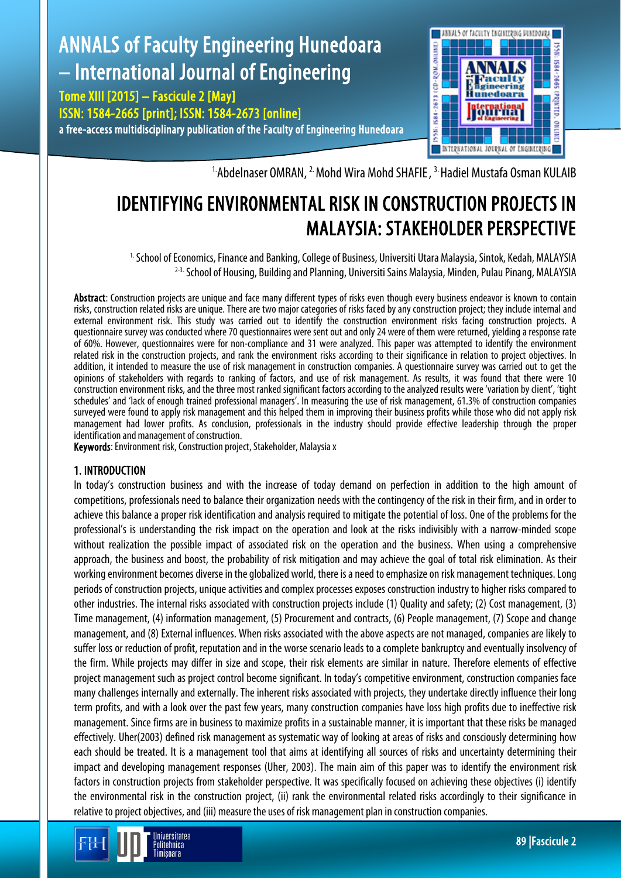

<sup>1.</sup> Abdelnaser OMRAN, <sup>2.</sup> Mohd Wira Mohd SHAFIE, <sup>3.</sup> Hadiel Mustafa Osman KULAIB

# IDENTIFYING ENVIRONMENTAL RISK IN CONSTRUCTION PROJECTS IN MALAYSIA: STAKEHOLDER PERSPECTIVE

<sup>1.</sup> School of Economics, Finance and Banking, College of Business, Universiti Utara Malaysia, Sintok, Kedah, MALAYSIA <sup>2-3.</sup> School of Housing, Building and Planning, Universiti Sains Malaysia, Minden, Pulau Pinang, MALAYSIA

Abstract: Construction projects are unique and face many different types of risks even though every business endeavor is known to contain risks, construction related risks are unique. There are two major categories of risks faced by any construction project; they include internal and external environment risk. This study was carried out to identify the construction environment risks facing construction projects. A questionnaire survey was conducted where 70 questionnaires were sent out and only 24 were of them were returned, yielding a response rate of 60%. However, questionnaires were for non-compliance and 31 were analyzed. This paper was attempted to identify the environment related risk in the construction projects, and rank the environment risks according to their significance in relation to project objectives. In addition, it intended to measure the use of risk management in construction companies. A questionnaire survey was carried out to get the opinions of stakeholders with regards to ranking of factors, and use of risk management. As results, it was found that there were 10 construction environment risks, and the three most ranked significant factors according to the analyzed results were 'variation by client', 'tight schedules' and 'lack of enough trained professional managers'. In measuring the use of risk management, 61.3% of construction companies surveyed were found to apply risk management and this helped them in improving their business profits while those who did not apply risk management had lower profits. As conclusion, professionals in the industry should provide effective leadership through the proper identification and management of construction.

Keywords: Environment risk, Construction project, Stakeholder, Malaysia x

### 1. INTRODUCTION

In today's construction business and with the increase of today demand on perfection in addition to the high amount of competitions, professionals need to balance their organization needs with the contingency of the risk in their firm, and in order to achieve this balance a proper risk identification and analysis required to mitigate the potential of loss. One of the problems for the professional's is understanding the risk impact on the operation and look at the risks indivisibly with a narrow-minded scope without realization the possible impact of associated risk on the operation and the business. When using a comprehensive approach, the business and boost, the probability of risk mitigation and may achieve the goal of total risk elimination. As their working environment becomes diverse in the globalized world, there is a need to emphasize on risk management techniques. Long periods of construction projects, unique activities and complex processes exposes construction industry to higher risks compared to other industries. The internal risks associated with construction projects include (1) Quality and safety; (2) Cost management, (3) Time management, (4) information management, (5) Procurement and contracts, (6) People management, (7) Scope and change management, and (8) External influences. When risks associated with the above aspects are not managed, companies are likely to suffer loss or reduction of profit, reputation and in the worse scenario leads to a complete bankruptcy and eventually insolvency of the firm. While projects may differ in size and scope, their risk elements are similar in nature. Therefore elements of effective project management such as project control become significant. In today's competitive environment, construction companies face many challenges internally and externally. The inherent risks associated with projects, they undertake directly influence their long term profits, and with a look over the past few years, many construction companies have loss high profits due to ineffective risk management. Since firms are in business to maximize profits in a sustainable manner, it is important that these risks be managed effectively. Uher(2003) defined risk management as systematic way of looking at areas of risks and consciously determining how each should be treated. It is a management tool that aims at identifying all sources of risks and uncertainty determining their impact and developing management responses (Uher, 2003). The main aim of this paper was to identify the environment risk factors in construction projects from stakeholder perspective. It was specifically focused on achieving these objectives (i) identify the environmental risk in the construction project, (ii) rank the environmental related risks accordingly to their significance in relative to project objectives, and (iii) measure the uses of risk management plan in construction companies.

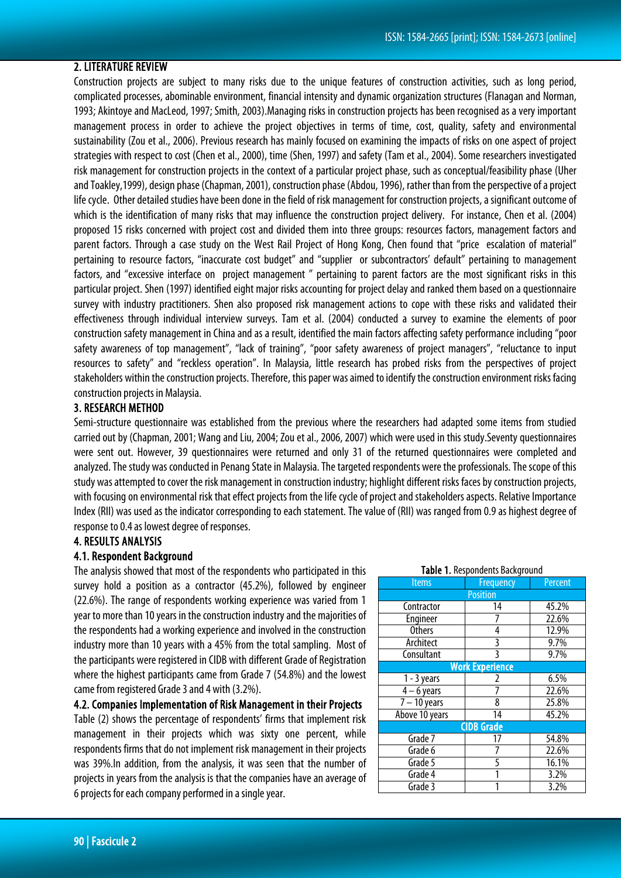### 2. LITERATURE REVIEW

Construction projects are subject to many risks due to the unique features of construction activities, such as long period, complicated processes, abominable environment, financial intensity and dynamic organization structures (Flanagan and Norman, 1993; Akintoye and MacLeod, 1997; Smith, 2003).Managing risks in construction projects has been recognised as a very important management process in order to achieve the project objectives in terms of time, cost, quality, safety and environmental sustainability (Zou et al., 2006). Previous research has mainly focused on examining the impacts of risks on one aspect of project strategies with respect to cost (Chen et al., 2000), time (Shen, 1997) and safety (Tam et al., 2004). Some researchers investigated risk management for construction projects in the context of a particular project phase, such as conceptual/feasibility phase (Uher and Toakley,1999), design phase (Chapman, 2001), construction phase (Abdou, 1996), rather than from the perspective of a project life cycle. Other detailed studies have been done in the field of risk management for construction projects, a significant outcome of which is the identification of many risks that may influence the construction project delivery. For instance, Chen et al. (2004) proposed 15 risks concerned with project cost and divided them into three groups: resources factors, management factors and parent factors. Through a case study on the West Rail Project of Hong Kong, Chen found that "price escalation of material" pertaining to resource factors, "inaccurate cost budget" and "supplier or subcontractors' default" pertaining to management factors, and "excessive interface on project management " pertaining to parent factors are the most significant risks in this particular project. Shen (1997) identified eight major risks accounting for project delay and ranked them based on a questionnaire survey with industry practitioners. Shen also proposed risk management actions to cope with these risks and validated their effectiveness through individual interview surveys. Tam et al. (2004) conducted a survey to examine the elements of poor construction safety management in China and as a result, identified the main factors affecting safety performance including "poor safety awareness of top management", "lack of training", "poor safety awareness of project managers", "reluctance to input resources to safety" and "reckless operation". In Malaysia, little research has probed risks from the perspectives of project stakeholders within the construction projects. Therefore, this paper was aimed to identify the construction environment risks facing construction projects in Malaysia.

### 3. RESEARCH METHOD

Semi-structure questionnaire was established from the previous where the researchers had adapted some items from studied carried out by (Chapman, 2001; Wang and Liu, 2004; Zou et al., 2006, 2007) which were used in this study.Seventy questionnaires were sent out. However, 39 questionnaires were returned and only 31 of the returned questionnaires were completed and analyzed. The study was conducted in Penang State in Malaysia. The targeted respondents were the professionals. The scope of this study was attempted to cover the risk management in construction industry; highlight different risks faces by construction projects, with focusing on environmental risk that effect projects from the life cycle of project and stakeholders aspects. Relative Importance Index (RII) was used as the indicator corresponding to each statement. The value of (RII) was ranged from 0.9 as highest degree of response to 0.4 as lowest degree of responses.

### 4. RESULTS ANALYSIS

### 4.1. Respondent Background

The analysis showed that most of the respondents who participated in this survey hold a position as a contractor (45.2%), followed by engineer (22.6%). The range of respondents working experience was varied from 1 year to more than 10 years in the construction industry and the majorities of the respondents had a working experience and involved in the construction industry more than 10 years with a 45% from the total sampling. Most of the participants were registered in CIDB with different Grade of Registration where the highest participants came from Grade 7 (54.8%) and the lowest came from registered Grade 3 and 4 with (3.2%).

4.2. Companies Implementation of Risk Management in their Projects

Table (2) shows the percentage of respondents' firms that implement risk management in their projects which was sixty one percent, while respondents firms that do not implement risk management in their projects was 39%.In addition, from the analysis, it was seen that the number of projects in years from the analysis is that the companies have an average of 6 projects for each company performed in a single year.

|  | Table 1. Respondents Background |
|--|---------------------------------|
|  |                                 |

| <b>Items</b>             | <b>Frequency</b>       | Percent            |  |  |
|--------------------------|------------------------|--------------------|--|--|
| <b>Position</b>          |                        |                    |  |  |
| Contractor               | 14                     | 45.2%              |  |  |
| Engineer                 |                        | 22.6%              |  |  |
| <b>Others</b>            | 4                      | 12.9%              |  |  |
| Architect                | 3                      | 9.7%               |  |  |
| Consultant               | 3                      | $\overline{9.7\%}$ |  |  |
|                          | <b>Work Experience</b> |                    |  |  |
| $1 - 3$ years            |                        | 6.5%               |  |  |
| $\overline{4}$ – 6 years |                        | 22.6%              |  |  |
| $7 - 10$ years           | 8                      | 25.8%              |  |  |
| Above 10 years           | 14                     | 45.2%              |  |  |
| <b>CIDB Grade</b>        |                        |                    |  |  |
| Grade 7                  | 17                     | 54.8%              |  |  |
| Grade 6                  |                        | 22.6%              |  |  |
| Grade 5                  | 5                      | 16.1%              |  |  |
| Grade 4                  |                        | 3.2%               |  |  |
| Grade 3                  |                        | 3.2%               |  |  |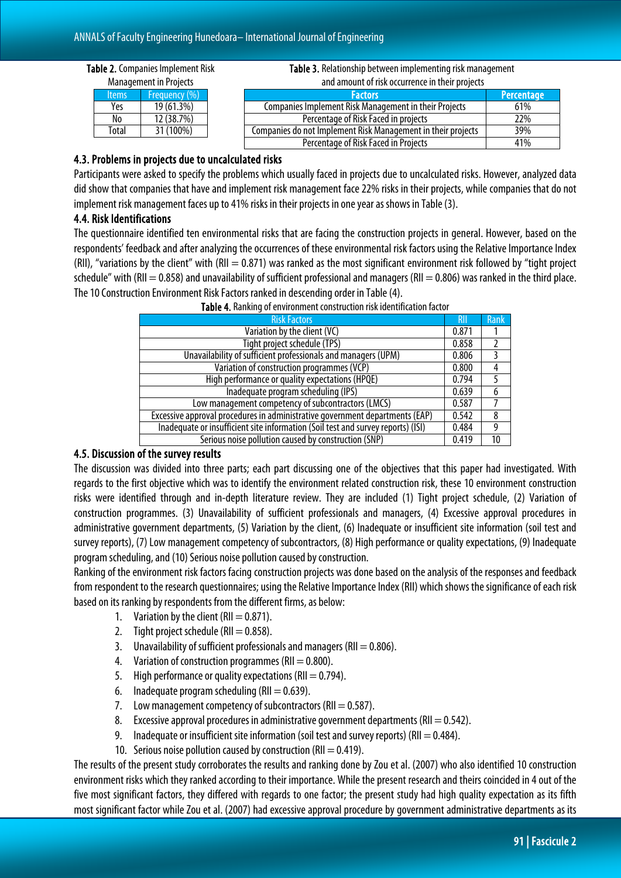|  | Table 2. Companies Implement Risk |  |  |
|--|-----------------------------------|--|--|
|--|-----------------------------------|--|--|

| <b>Management in Projects</b> |               |  |
|-------------------------------|---------------|--|
| <b>Items</b>                  | Frequency (%) |  |
| Yes                           | 19 (61.3%)    |  |
| No                            | 12 (38.7%)    |  |
| <b>Total</b>                  | 31 (100%)     |  |

#### Table 3. Relationship between implementing risk management and amount of risk occurrence in their projects

| and amount of risk occurrence in their projects              |                   |  |  |
|--------------------------------------------------------------|-------------------|--|--|
| <b>Factors</b>                                               | <b>Percentage</b> |  |  |
| <b>Companies Implement Risk Management in their Projects</b> | 61%               |  |  |
| Percentage of Risk Faced in projects                         | 22%               |  |  |
| Companies do not Implement Risk Management in their projects | 39%               |  |  |
| Percentage of Risk Faced in Projects                         | 41%               |  |  |

## 4.3. Problems in projects due to uncalculated risks

Participants were asked to specify the problems which usually faced in projects due to uncalculated risks. However, analyzed data did show that companies that have and implement risk management face 22% risks in their projects, while companies that do not implement risk management faces up to 41% risks in their projects in one year as shows in Table (3).

۰

### 4.4. Risk Identifications

The questionnaire identified ten environmental risks that are facing the construction projects in general. However, based on the respondents' feedback and after analyzing the occurrences of these environmental risk factors using the Relative Importance Index (RII), "variations by the client" with (RII = 0.871) was ranked as the most significant environment risk followed by "tight project schedule" with (RII = 0.858) and unavailability of sufficient professional and managers (RII = 0.806) was ranked in the third place. The 10 Construction Environment Risk Factors ranked in descending order in Table (4).

| <b>Risk Factors</b>                                                              | <b>RII</b> | Rank |
|----------------------------------------------------------------------------------|------------|------|
| Variation by the client (VC)                                                     | 0.871      |      |
| Tight project schedule (TPS)                                                     | 0.858      |      |
| Unavailability of sufficient professionals and managers (UPM)                    | 0.806      |      |
| Variation of construction programmes (VCP)                                       | 0.800      |      |
| High performance or quality expectations (HPQE)                                  | 0.794      |      |
| Inadequate program scheduling (IPS)                                              | 0.639      |      |
| Low management competency of subcontractors (LMCS)                               | 0.587      |      |
| Excessive approval procedures in administrative government departments (EAP)     |            |      |
| Inadequate or insufficient site information (Soil test and survey reports) (ISI) |            | q    |
| Serious noise pollution caused by construction (SNP)                             | 0.419      | 10   |

Table 4. Ranking of environment construction risk identification factor

### 4.5. Discussion of the survey results

The discussion was divided into three parts; each part discussing one of the objectives that this paper had investigated. With regards to the first objective which was to identify the environment related construction risk, these 10 environment construction risks were identified through and in-depth literature review. They are included (1) Tight project schedule, (2) Variation of construction programmes. (3) Unavailability of sufficient professionals and managers, (4) Excessive approval procedures in administrative government departments, (5) Variation by the client, (6) Inadequate or insufficient site information (soil test and survey reports), (7) Low management competency of subcontractors, (8) High performance or quality expectations, (9) Inadequate program scheduling, and (10) Serious noise pollution caused by construction.

Ranking of the environment risk factors facing construction projects was done based on the analysis of the responses and feedback from respondent to the research questionnaires; using the Relative Importance Index (RII) which shows the significance of each risk based on its ranking by respondents from the different firms, as below:

- 1. Variation by the client (RII  $= 0.871$ ).
- 2. Tight project schedule (RII  $= 0.858$ ).
- 3. Unavailability of sufficient professionals and managers (RII  $= 0.806$ ).
- 4. Variation of construction programmes ( $RII = 0.800$ ).
- 5. High performance or quality expectations (RII  $= 0.794$ ).
- 6. Inadequate program scheduling (RII  $= 0.639$ ).
- 7. Low management competency of subcontractors (RII  $= 0.587$ ).
- 8. Excessive approval procedures in administrative government departments (RII =  $0.542$ ).
- 9. Inadequate or insufficient site information (soil test and survey reports) (RII  $= 0.484$ ).
- 10. Serious noise pollution caused by construction (RII  $= 0.419$ ).

The results of the present study corroborates the results and ranking done by Zou et al. (2007) who also identified 10 construction environment risks which they ranked according to their importance. While the present research and theirs coincided in 4 out of the five most significant factors, they differed with regards to one factor; the present study had high quality expectation as its fifth most significant factor while Zou et al. (2007) had excessive approval procedure by government administrative departments as its